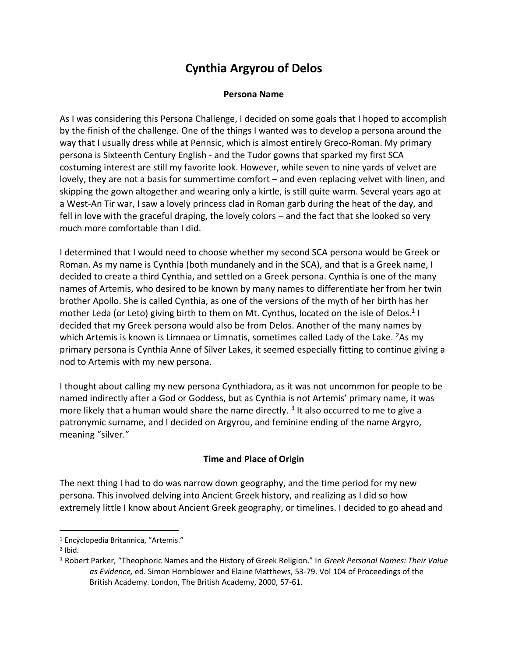# **Cynthia Argyrou of Delos**

#### **Persona Name**

As I was considering this Persona Challenge, I decided on some goals that I hoped to accomplish by the finish of the challenge. One of the things I wanted was to develop a persona around the way that I usually dress while at Pennsic, which is almost entirely Greco-Roman. My primary persona is Sixteenth Century English - and the Tudor gowns that sparked my first SCA costuming interest are still my favorite look. However, while seven to nine yards of velvet are lovely, they are not a basis for summertime comfort – and even replacing velvet with linen, and skipping the gown altogether and wearing only a kirtle, is still quite warm. Several years ago at a West-An Tir war, I saw a lovely princess clad in Roman garb during the heat of the day, and fell in love with the graceful draping, the lovely colors – and the fact that she looked so very much more comfortable than I did.

I determined that I would need to choose whether my second SCA persona would be Greek or Roman. As my name is Cynthia (both mundanely and in the SCA), and that is a Greek name, I decided to create a third Cynthia, and settled on a Greek persona. Cynthia is one of the many names of Artemis, who desired to be known by many names to differentiate her from her twin brother Apollo. She is called Cynthia, as one of the versions of the myth of her birth has her mother Leda (or Leto) giving birth to them on Mt. Cynthus, located on the isle of Delos.<sup>1</sup> I decided that my Greek persona would also be from Delos. Another of the many names by which Artemis is known is Limnaea or Limnatis, sometimes called Lady of the Lake.  $2$ As my primary persona is Cynthia Anne of Silver Lakes, it seemed especially fitting to continue giving a nod to Artemis with my new persona.

I thought about calling my new persona Cynthiadora, as it was not uncommon for people to be named indirectly after a God or Goddess, but as Cynthia is not Artemis' primary name, it was more likely that a human would share the name directly. <sup>3</sup> It also occurred to me to give a patronymic surname, and I decided on Argyrou, and feminine ending of the name Argyro, meaning "silver."

#### **Time and Place of Origin**

The next thing I had to do was narrow down geography, and the time period for my new persona. This involved delving into Ancient Greek history, and realizing as I did so how extremely little I know about Ancient Greek geography, or timelines. I decided to go ahead and

<sup>1</sup> Encyclopedia Britannica, "Artemis."

 $2$  Ibid.

<sup>3</sup> Robert Parker, "Theophoric Names and the History of Greek Religion." In *Greek Personal Names: Their Value as Evidence,* ed. Simon Hornblower and Elaine Matthews, 53-79. Vol 104 of Proceedings of the British Academy. London, The British Academy, 2000, 57-61.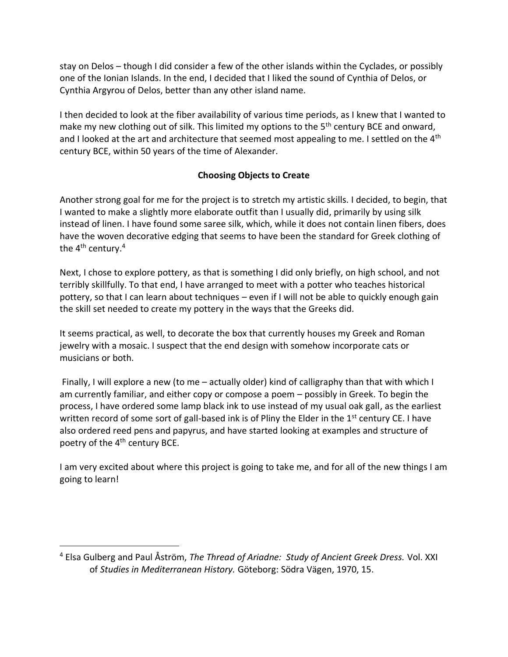stay on Delos – though I did consider a few of the other islands within the Cyclades, or possibly one of the Ionian Islands. In the end, I decided that I liked the sound of Cynthia of Delos, or Cynthia Argyrou of Delos, better than any other island name.

I then decided to look at the fiber availability of various time periods, as I knew that I wanted to make my new clothing out of silk. This limited my options to the  $5<sup>th</sup>$  century BCE and onward, and I looked at the art and architecture that seemed most appealing to me. I settled on the 4<sup>th</sup> century BCE, within 50 years of the time of Alexander.

### **Choosing Objects to Create**

Another strong goal for me for the project is to stretch my artistic skills. I decided, to begin, that I wanted to make a slightly more elaborate outfit than I usually did, primarily by using silk instead of linen. I have found some saree silk, which, while it does not contain linen fibers, does have the woven decorative edging that seems to have been the standard for Greek clothing of the  $4<sup>th</sup>$  century.<sup>4</sup>

Next, I chose to explore pottery, as that is something I did only briefly, on high school, and not terribly skillfully. To that end, I have arranged to meet with a potter who teaches historical pottery, so that I can learn about techniques – even if I will not be able to quickly enough gain the skill set needed to create my pottery in the ways that the Greeks did.

It seems practical, as well, to decorate the box that currently houses my Greek and Roman jewelry with a mosaic. I suspect that the end design with somehow incorporate cats or musicians or both.

Finally, I will explore a new (to me – actually older) kind of calligraphy than that with which I am currently familiar, and either copy or compose a poem – possibly in Greek. To begin the process, I have ordered some lamp black ink to use instead of my usual oak gall, as the earliest written record of some sort of gall-based ink is of Pliny the Elder in the  $1<sup>st</sup>$  century CE. I have also ordered reed pens and papyrus, and have started looking at examples and structure of poetry of the 4<sup>th</sup> century BCE.

I am very excited about where this project is going to take me, and for all of the new things I am going to learn!

<sup>4</sup> Elsa Gulberg and Paul Åström, *The Thread of Ariadne: Study of Ancient Greek Dress.* Vol. XXI of *Studies in Mediterranean History.* Göteborg: Södra Vägen, 1970, 15.